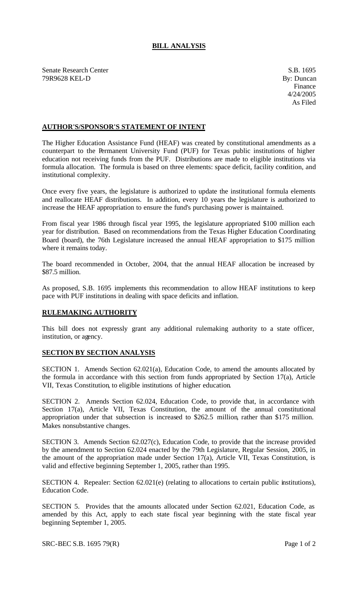## **BILL ANALYSIS**

Senate Research Center S.B. 1695 79R9628 KEL-D By: Duncan

## **AUTHOR'S/SPONSOR'S STATEMENT OF INTENT**

The Higher Education Assistance Fund (HEAF) was created by constitutional amendments as a counterpart to the Permanent University Fund (PUF) for Texas public institutions of higher education not receiving funds from the PUF. Distributions are made to eligible institutions via formula allocation. The formula is based on three elements: space deficit, facility condition, and institutional complexity.

Once every five years, the legislature is authorized to update the institutional formula elements and reallocate HEAF distributions. In addition, every 10 years the legislature is authorized to increase the HEAF appropriation to ensure the fund's purchasing power is maintained.

From fiscal year 1986 through fiscal year 1995, the legislature appropriated \$100 million each year for distribution. Based on recommendations from the Texas Higher Education Coordinating Board (board), the 76th Legislature increased the annual HEAF appropriation to \$175 million where it remains today.

The board recommended in October, 2004, that the annual HEAF allocation be increased by \$87.5 million.

As proposed, S.B. 1695 implements this recommendation to allow HEAF institutions to keep pace with PUF institutions in dealing with space deficits and inflation.

## **RULEMAKING AUTHORITY**

This bill does not expressly grant any additional rulemaking authority to a state officer, institution, or agency.

## **SECTION BY SECTION ANALYSIS**

SECTION 1. Amends Section 62.021(a), Education Code, to amend the amounts allocated by the formula in accordance with this section from funds appropriated by Section 17(a), Article VII, Texas Constitution, to eligible institutions of higher education.

SECTION 2. Amends Section 62.024, Education Code, to provide that, in accordance with Section 17(a), Article VII, Texas Constitution, the amount of the annual constitutional appropriation under that subsection is increased to \$262.5 million, rather than \$175 million. Makes nonsubstantive changes.

SECTION 3. Amends Section 62.027(c), Education Code, to provide that the increase provided by the amendment to Section 62.024 enacted by the 79th Legislature, Regular Session, 2005, in the amount of the appropriation made under Section 17(a), Article VII, Texas Constitution, is valid and effective beginning September 1, 2005, rather than 1995.

SECTION 4. Repealer: Section 62.021(e) (relating to allocations to certain public institutions), Education Code.

SECTION 5. Provides that the amounts allocated under Section 62.021, Education Code, as amended by this Act, apply to each state fiscal year beginning with the state fiscal year beginning September 1, 2005.